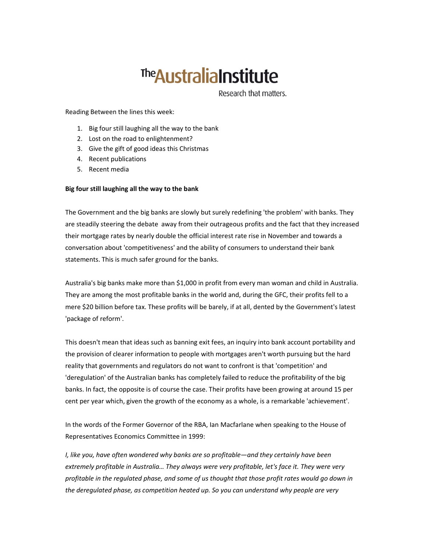# <sup>The</sup> Australia Institute

Research that matters.

Reading Between the lines this week:

- 1. Big four still laughing all the way to the bank
- 2. Lost on the road to enlightenment?
- 3. Give the gift of good ideas this Christmas
- 4. Recent publications
- 5. Recent media

#### Big four still laughing all the way to the bank

The Government and the big banks are slowly but surely redefining 'the problem' with banks. They are steadily steering the debate away from their outrageous profits and the fact that they increased their mortgage rates by nearly double the official interest rate rise in November and towards a conversation about 'competitiveness' and the ability of consumers to understand their bank statements. This is much safer ground for the banks.

Australia's big banks make more than \$1,000 in profit from every man woman and child in Australia. They are among the most profitable banks in the world and, during the GFC, their profits fell to a mere \$20 billion before tax. These profits will be barely, if at all, dented by the Government's latest 'package of reform'.

This doesn't mean that ideas such as banning exit fees, an inquiry into bank account portability and the provision of clearer information to people with mortgages aren't worth pursuing but the hard reality that governments and regulators do not want to confront is that 'competition' and 'deregulation' of the Australian banks has completely failed to reduce the profitability of the big banks. In fact, the opposite is of course the case. Their profits have been growing at around 15 per cent per year which, given the growth of the economy as a whole, is a remarkable 'achievement'.

In the words of the Former Governor of the RBA, Ian Macfarlane when speaking to the House of Representatives Economics Committee in 1999:

I, like you, have often wondered why banks are so profitable—and they certainly have been extremely profitable in Australia… They always were very profitable, let's face it. They were very profitable in the regulated phase, and some of us thought that those profit rates would go down in the deregulated phase, as competition heated up. So you can understand why people are very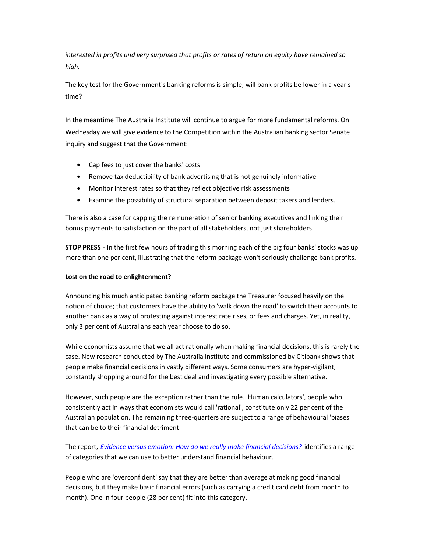interested in profits and very surprised that profits or rates of return on equity have remained so high.

The key test for the Government's banking reforms is simple; will bank profits be lower in a year's time?

In the meantime The Australia Institute will continue to argue for more fundamental reforms. On Wednesday we will give evidence to the Competition within the Australian banking sector Senate inquiry and suggest that the Government:

- Cap fees to just cover the banks' costs
- Remove tax deductibility of bank advertising that is not genuinely informative
- Monitor interest rates so that they reflect objective risk assessments
- Examine the possibility of structural separation between deposit takers and lenders.

There is also a case for capping the remuneration of senior banking executives and linking their bonus payments to satisfaction on the part of all stakeholders, not just shareholders.

**STOP PRESS** - In the first few hours of trading this morning each of the big four banks' stocks was up more than one per cent, illustrating that the reform package won't seriously challenge bank profits.

# Lost on the road to enlightenment?

Announcing his much anticipated banking reform package the Treasurer focused heavily on the notion of choice; that customers have the ability to 'walk down the road' to switch their accounts to another bank as a way of protesting against interest rate rises, or fees and charges. Yet, in reality, only 3 per cent of Australians each year choose to do so.

While economists assume that we all act rationally when making financial decisions, this is rarely the case. New research conducted by The Australia Institute and commissioned by Citibank shows that people make financial decisions in vastly different ways. Some consumers are hyper-vigilant, constantly shopping around for the best deal and investigating every possible alternative.

However, such people are the exception rather than the rule. 'Human calculators', people who consistently act in ways that economists would call 'rational', constitute only 22 per cent of the Australian population. The remaining three-quarters are subject to a range of behavioural 'biases' that can be to their financial detriment.

The report, *Evidence versus emotion: How do we really make financial decisions?* identifies a range of categories that we can use to better understand financial behaviour.

People who are 'overconfident' say that they are better than average at making good financial decisions, but they make basic financial errors (such as carrying a credit card debt from month to month). One in four people (28 per cent) fit into this category.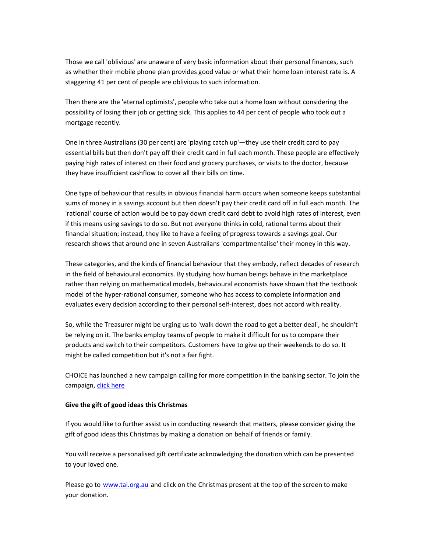Those we call 'oblivious' are unaware of very basic information about their personal finances, such as whether their mobile phone plan provides good value or what their home loan interest rate is. A staggering 41 per cent of people are oblivious to such information.

Then there are the 'eternal optimists', people who take out a home loan without considering the possibility of losing their job or getting sick. This applies to 44 per cent of people who took out a mortgage recently.

One in three Australians (30 per cent) are 'playing catch up'—they use their credit card to pay essential bills but then don't pay off their credit card in full each month. These people are effectively paying high rates of interest on their food and grocery purchases, or visits to the doctor, because they have insufficient cashflow to cover all their bills on time.

One type of behaviour that results in obvious financial harm occurs when someone keeps substantial sums of money in a savings account but then doesn't pay their credit card off in full each month. The 'rational' course of action would be to pay down credit card debt to avoid high rates of interest, even if this means using savings to do so. But not everyone thinks in cold, rational terms about their financial situation; instead, they like to have a feeling of progress towards a savings goal. Our research shows that around one in seven Australians 'compartmentalise' their money in this way.

These categories, and the kinds of financial behaviour that they embody, reflect decades of research in the field of behavioural economics. By studying how human beings behave in the marketplace rather than relying on mathematical models, behavioural economists have shown that the textbook model of the hyper-rational consumer, someone who has access to complete information and evaluates every decision according to their personal self-interest, does not accord with reality.

So, while the Treasurer might be urging us to 'walk down the road to get a better deal', he shouldn't be relying on it. The banks employ teams of people to make it difficult for us to compare their products and switch to their competitors. Customers have to give up their weekends to do so. It might be called competition but it's not a fair fight.

CHOICE has launched a new campaign calling for more competition in the banking sector. To join the campaign, click here

#### Give the gift of good ideas this Christmas

If you would like to further assist us in conducting research that matters, please consider giving the gift of good ideas this Christmas by making a donation on behalf of friends or family.

You will receive a personalised gift certificate acknowledging the donation which can be presented to your loved one.

Please go to www.tai.org.au and click on the Christmas present at the top of the screen to make your donation.